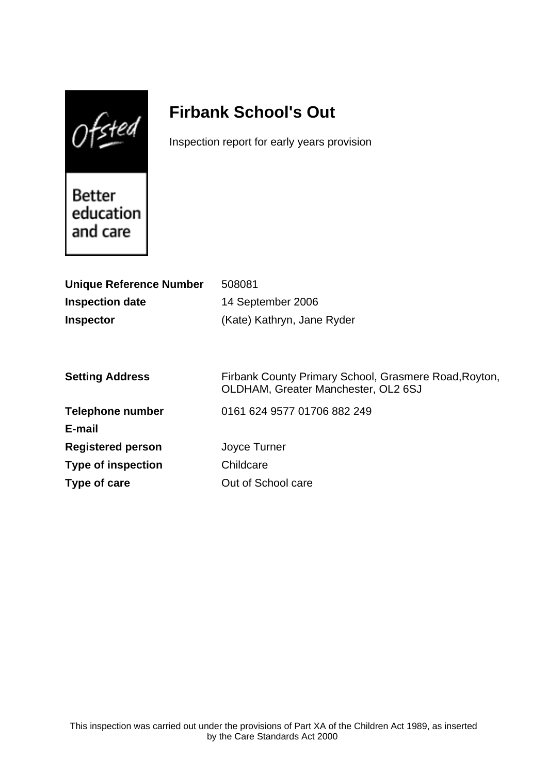$0$ fsted

# **Firbank School's Out**

Inspection report for early years provision

Better education and care

| 508081                                                                                       |
|----------------------------------------------------------------------------------------------|
| 14 September 2006                                                                            |
| (Kate) Kathryn, Jane Ryder                                                                   |
|                                                                                              |
|                                                                                              |
| Firbank County Primary School, Grasmere Road, Royton,<br>OLDHAM, Greater Manchester, OL2 6SJ |
| 0161 624 9577 01706 882 249                                                                  |
|                                                                                              |
| Joyce Turner                                                                                 |
| Childcare                                                                                    |
| Out of School care                                                                           |
|                                                                                              |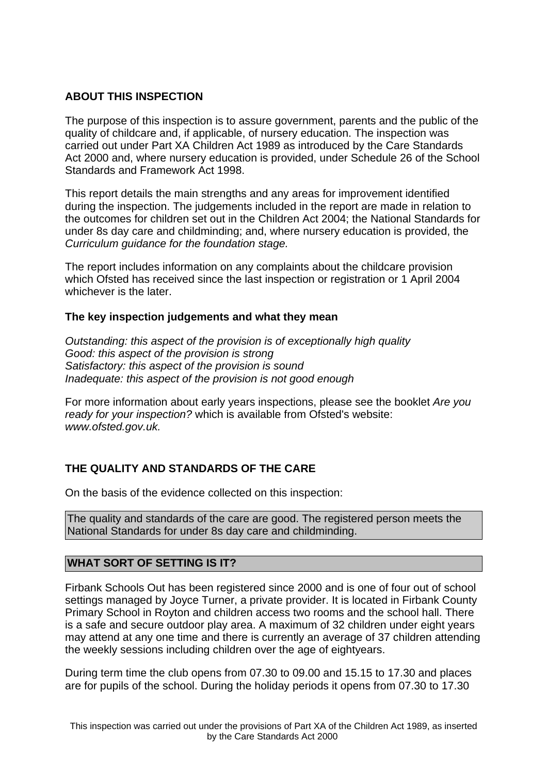# **ABOUT THIS INSPECTION**

The purpose of this inspection is to assure government, parents and the public of the quality of childcare and, if applicable, of nursery education. The inspection was carried out under Part XA Children Act 1989 as introduced by the Care Standards Act 2000 and, where nursery education is provided, under Schedule 26 of the School Standards and Framework Act 1998.

This report details the main strengths and any areas for improvement identified during the inspection. The judgements included in the report are made in relation to the outcomes for children set out in the Children Act 2004; the National Standards for under 8s day care and childminding; and, where nursery education is provided, the Curriculum guidance for the foundation stage.

The report includes information on any complaints about the childcare provision which Ofsted has received since the last inspection or registration or 1 April 2004 whichever is the later.

## **The key inspection judgements and what they mean**

Outstanding: this aspect of the provision is of exceptionally high quality Good: this aspect of the provision is strong Satisfactory: this aspect of the provision is sound Inadequate: this aspect of the provision is not good enough

For more information about early years inspections, please see the booklet Are you ready for your inspection? which is available from Ofsted's website: www.ofsted.gov.uk.

# **THE QUALITY AND STANDARDS OF THE CARE**

On the basis of the evidence collected on this inspection:

The quality and standards of the care are good. The registered person meets the National Standards for under 8s day care and childminding.

# **WHAT SORT OF SETTING IS IT?**

Firbank Schools Out has been registered since 2000 and is one of four out of school settings managed by Joyce Turner, a private provider. It is located in Firbank County Primary School in Royton and children access two rooms and the school hall. There is a safe and secure outdoor play area. A maximum of 32 children under eight years may attend at any one time and there is currently an average of 37 children attending the weekly sessions including children over the age of eightyears.

During term time the club opens from 07.30 to 09.00 and 15.15 to 17.30 and places are for pupils of the school. During the holiday periods it opens from 07.30 to 17.30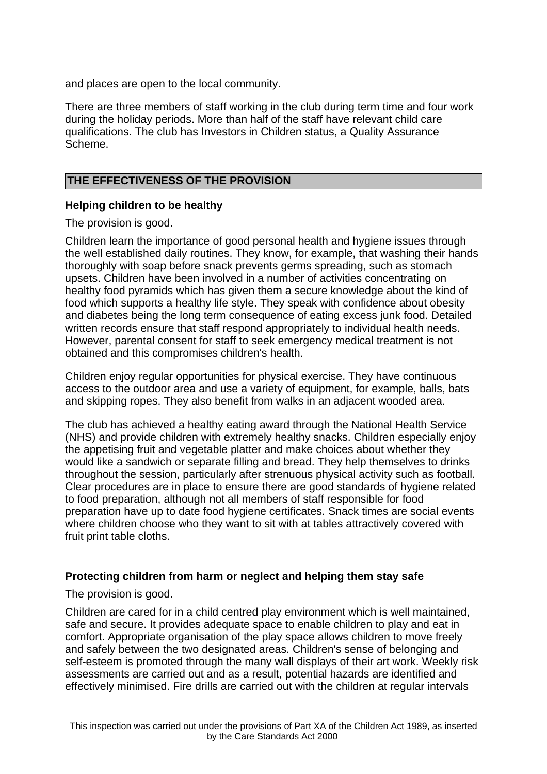and places are open to the local community.

There are three members of staff working in the club during term time and four work during the holiday periods. More than half of the staff have relevant child care qualifications. The club has Investors in Children status, a Quality Assurance Scheme.

## **THE EFFECTIVENESS OF THE PROVISION**

#### **Helping children to be healthy**

The provision is good.

Children learn the importance of good personal health and hygiene issues through the well established daily routines. They know, for example, that washing their hands thoroughly with soap before snack prevents germs spreading, such as stomach upsets. Children have been involved in a number of activities concentrating on healthy food pyramids which has given them a secure knowledge about the kind of food which supports a healthy life style. They speak with confidence about obesity and diabetes being the long term consequence of eating excess junk food. Detailed written records ensure that staff respond appropriately to individual health needs. However, parental consent for staff to seek emergency medical treatment is not obtained and this compromises children's health.

Children enjoy regular opportunities for physical exercise. They have continuous access to the outdoor area and use a variety of equipment, for example, balls, bats and skipping ropes. They also benefit from walks in an adjacent wooded area.

The club has achieved a healthy eating award through the National Health Service (NHS) and provide children with extremely healthy snacks. Children especially enjoy the appetising fruit and vegetable platter and make choices about whether they would like a sandwich or separate filling and bread. They help themselves to drinks throughout the session, particularly after strenuous physical activity such as football. Clear procedures are in place to ensure there are good standards of hygiene related to food preparation, although not all members of staff responsible for food preparation have up to date food hygiene certificates. Snack times are social events where children choose who they want to sit with at tables attractively covered with fruit print table cloths.

## **Protecting children from harm or neglect and helping them stay safe**

#### The provision is good.

Children are cared for in a child centred play environment which is well maintained, safe and secure. It provides adequate space to enable children to play and eat in comfort. Appropriate organisation of the play space allows children to move freely and safely between the two designated areas. Children's sense of belonging and self-esteem is promoted through the many wall displays of their art work. Weekly risk assessments are carried out and as a result, potential hazards are identified and effectively minimised. Fire drills are carried out with the children at regular intervals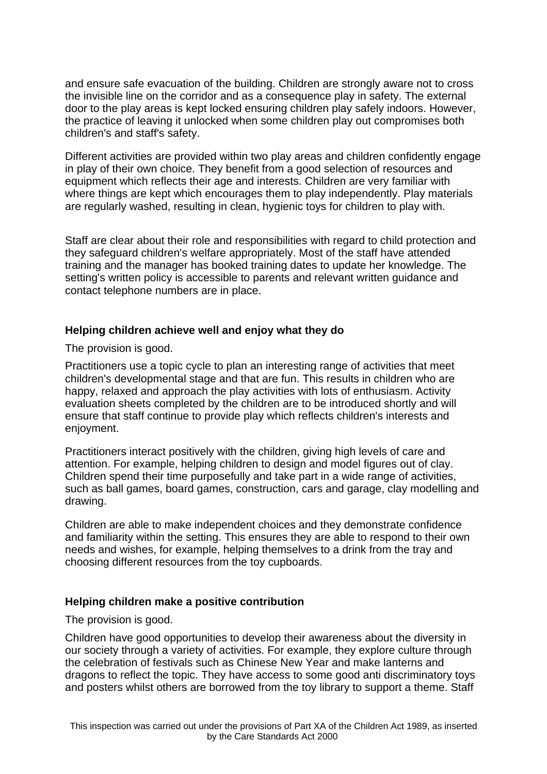and ensure safe evacuation of the building. Children are strongly aware not to cross the invisible line on the corridor and as a consequence play in safety. The external door to the play areas is kept locked ensuring children play safely indoors. However, the practice of leaving it unlocked when some children play out compromises both children's and staff's safety.

Different activities are provided within two play areas and children confidently engage in play of their own choice. They benefit from a good selection of resources and equipment which reflects their age and interests. Children are very familiar with where things are kept which encourages them to play independently. Play materials are regularly washed, resulting in clean, hygienic toys for children to play with.

Staff are clear about their role and responsibilities with regard to child protection and they safeguard children's welfare appropriately. Most of the staff have attended training and the manager has booked training dates to update her knowledge. The setting's written policy is accessible to parents and relevant written guidance and contact telephone numbers are in place.

## **Helping children achieve well and enjoy what they do**

The provision is good.

Practitioners use a topic cycle to plan an interesting range of activities that meet children's developmental stage and that are fun. This results in children who are happy, relaxed and approach the play activities with lots of enthusiasm. Activity evaluation sheets completed by the children are to be introduced shortly and will ensure that staff continue to provide play which reflects children's interests and enjoyment.

Practitioners interact positively with the children, giving high levels of care and attention. For example, helping children to design and model figures out of clay. Children spend their time purposefully and take part in a wide range of activities, such as ball games, board games, construction, cars and garage, clay modelling and drawing.

Children are able to make independent choices and they demonstrate confidence and familiarity within the setting. This ensures they are able to respond to their own needs and wishes, for example, helping themselves to a drink from the tray and choosing different resources from the toy cupboards.

#### **Helping children make a positive contribution**

The provision is good.

Children have good opportunities to develop their awareness about the diversity in our society through a variety of activities. For example, they explore culture through the celebration of festivals such as Chinese New Year and make lanterns and dragons to reflect the topic. They have access to some good anti discriminatory toys and posters whilst others are borrowed from the toy library to support a theme. Staff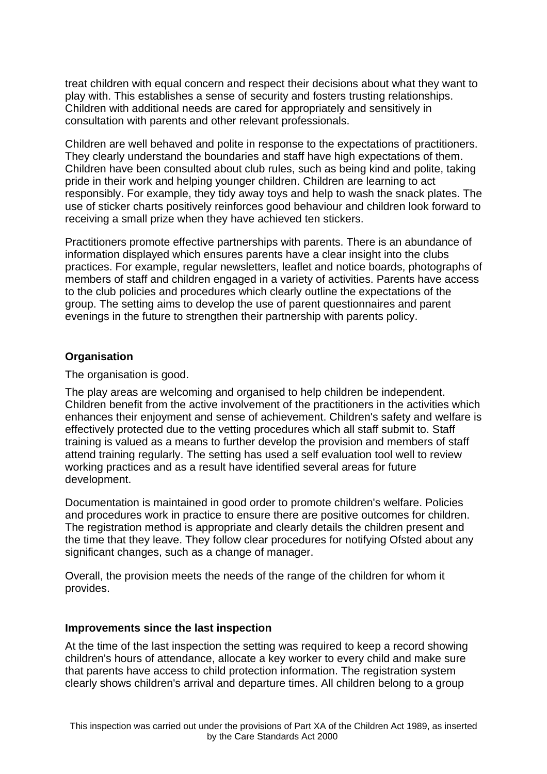treat children with equal concern and respect their decisions about what they want to play with. This establishes a sense of security and fosters trusting relationships. Children with additional needs are cared for appropriately and sensitively in consultation with parents and other relevant professionals.

Children are well behaved and polite in response to the expectations of practitioners. They clearly understand the boundaries and staff have high expectations of them. Children have been consulted about club rules, such as being kind and polite, taking pride in their work and helping younger children. Children are learning to act responsibly. For example, they tidy away toys and help to wash the snack plates. The use of sticker charts positively reinforces good behaviour and children look forward to receiving a small prize when they have achieved ten stickers.

Practitioners promote effective partnerships with parents. There is an abundance of information displayed which ensures parents have a clear insight into the clubs practices. For example, regular newsletters, leaflet and notice boards, photographs of members of staff and children engaged in a variety of activities. Parents have access to the club policies and procedures which clearly outline the expectations of the group. The setting aims to develop the use of parent questionnaires and parent evenings in the future to strengthen their partnership with parents policy.

# **Organisation**

The organisation is good.

The play areas are welcoming and organised to help children be independent. Children benefit from the active involvement of the practitioners in the activities which enhances their enjoyment and sense of achievement. Children's safety and welfare is effectively protected due to the vetting procedures which all staff submit to. Staff training is valued as a means to further develop the provision and members of staff attend training regularly. The setting has used a self evaluation tool well to review working practices and as a result have identified several areas for future development.

Documentation is maintained in good order to promote children's welfare. Policies and procedures work in practice to ensure there are positive outcomes for children. The registration method is appropriate and clearly details the children present and the time that they leave. They follow clear procedures for notifying Ofsted about any significant changes, such as a change of manager.

Overall, the provision meets the needs of the range of the children for whom it provides.

## **Improvements since the last inspection**

At the time of the last inspection the setting was required to keep a record showing children's hours of attendance, allocate a key worker to every child and make sure that parents have access to child protection information. The registration system clearly shows children's arrival and departure times. All children belong to a group